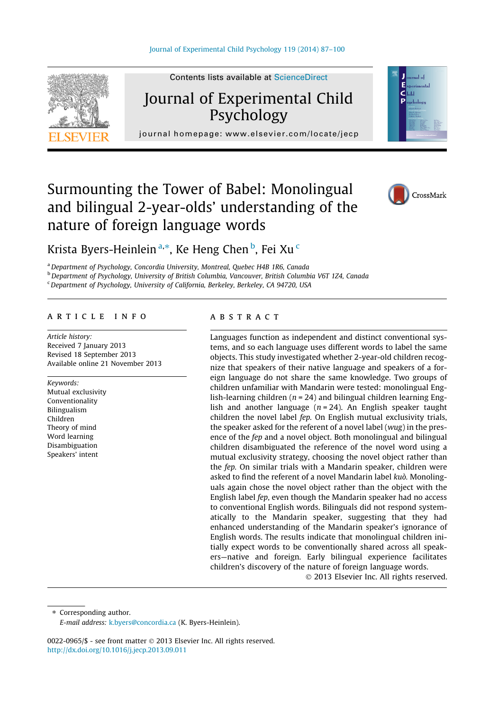

Contents lists available at [ScienceDirect](http://www.sciencedirect.com/science/journal/00220965)

# Journal of Experimental Child Psychology

journal homepage: [www.elsevier.com/locate/jecp](http://www.elsevier.com/locate/jecp)

# Surmounting the Tower of Babel: Monolingual and bilingual 2-year-olds' understanding of the nature of foreign language words



 $\mathbf{1}$ F c аú Þ

Krista Byers-Heinlein <sup>a,\*</sup>, Ke Heng Chen <sup>b</sup>, Fei Xu <sup>c</sup>

<sup>a</sup> Department of Psychology, Concordia University, Montreal, Quebec H4B 1R6, Canada

b Department of Psychology, University of British Columbia, Vancouver, British Columbia V6T 1Z4, Canada

<sup>c</sup> Department of Psychology, University of California, Berkeley, Berkeley, CA 94720, USA

#### article info

Article history: Received 7 January 2013 Revised 18 September 2013 Available online 21 November 2013

Keywords: Mutual exclusivity

Conventionality Bilingualism Children Theory of mind Word learning Disambiguation Speakers' intent

#### abstract

Languages function as independent and distinct conventional systems, and so each language uses different words to label the same objects. This study investigated whether 2-year-old children recognize that speakers of their native language and speakers of a foreign language do not share the same knowledge. Two groups of children unfamiliar with Mandarin were tested: monolingual English-learning children ( $n = 24$ ) and bilingual children learning English and another language ( $n = 24$ ). An English speaker taught children the novel label fep. On English mutual exclusivity trials, the speaker asked for the referent of a novel label (wug) in the presence of the fep and a novel object. Both monolingual and bilingual children disambiguated the reference of the novel word using a mutual exclusivity strategy, choosing the novel object rather than the fep. On similar trials with a Mandarin speaker, children were asked to find the referent of a novel Mandarin label kuò. Monolinguals again chose the novel object rather than the object with the English label fep, even though the Mandarin speaker had no access to conventional English words. Bilinguals did not respond systematically to the Mandarin speaker, suggesting that they had enhanced understanding of the Mandarin speaker's ignorance of English words. The results indicate that monolingual children initially expect words to be conventionally shared across all speakers—native and foreign. Early bilingual experience facilitates children's discovery of the nature of foreign language words.

- 2013 Elsevier Inc. All rights reserved.

⇑ Corresponding author.

E-mail address: [k.byers@concordia.ca](mailto:k.byers@concordia.ca) (K. Byers-Heinlein).

0022-0965/\$ - see front matter @ 2013 Elsevier Inc. All rights reserved. <http://dx.doi.org/10.1016/j.jecp.2013.09.011>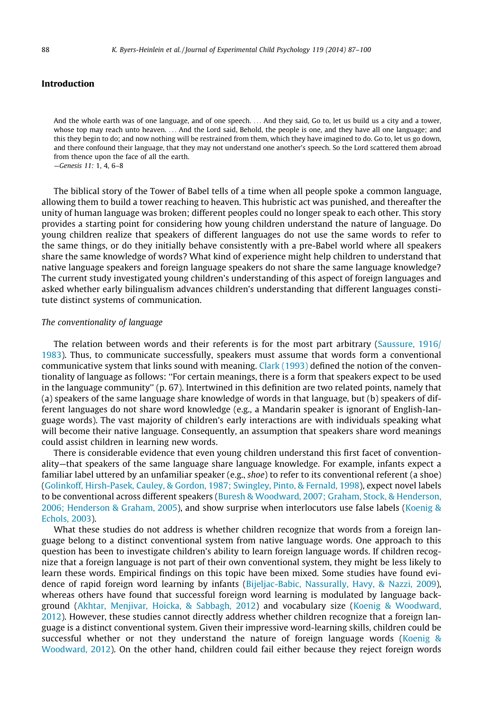# Introduction

And the whole earth was of one language, and of one speech. ... And they said, Go to, let us build us a city and a tower, whose top may reach unto heaven. ... And the Lord said, Behold, the people is one, and they have all one language; and this they begin to do; and now nothing will be restrained from them, which they have imagined to do. Go to, let us go down, and there confound their language, that they may not understand one another's speech. So the Lord scattered them abroad from thence upon the face of all the earth.

—Genesis 11: 1, 4, 6–8

The biblical story of the Tower of Babel tells of a time when all people spoke a common language, allowing them to build a tower reaching to heaven. This hubristic act was punished, and thereafter the unity of human language was broken; different peoples could no longer speak to each other. This story provides a starting point for considering how young children understand the nature of language. Do young children realize that speakers of different languages do not use the same words to refer to the same things, or do they initially behave consistently with a pre-Babel world where all speakers share the same knowledge of words? What kind of experience might help children to understand that native language speakers and foreign language speakers do not share the same language knowledge? The current study investigated young children's understanding of this aspect of foreign languages and asked whether early bilingualism advances children's understanding that different languages constitute distinct systems of communication.

### The conventionality of language

The relation between words and their referents is for the most part arbitrary ([Saussure, 1916/](#page-13-0) [1983\)](#page-13-0). Thus, to communicate successfully, speakers must assume that words form a conventional communicative system that links sound with meaning. [Clark \(1993\)](#page-12-0) defined the notion of the conventionality of language as follows: ''For certain meanings, there is a form that speakers expect to be used in the language community'' (p. 67). Intertwined in this definition are two related points, namely that (a) speakers of the same language share knowledge of words in that language, but (b) speakers of different languages do not share word knowledge (e.g., a Mandarin speaker is ignorant of English-language words). The vast majority of children's early interactions are with individuals speaking what will become their native language. Consequently, an assumption that speakers share word meanings could assist children in learning new words.

There is considerable evidence that even young children understand this first facet of conventionality—that speakers of the same language share language knowledge. For example, infants expect a familiar label uttered by an unfamiliar speaker (e.g., shoe) to refer to its conventional referent (a shoe) ([Golinkoff, Hirsh-Pasek, Cauley, & Gordon, 1987; Swingley, Pinto, & Fernald, 1998](#page-13-0)), expect novel labels to be conventional across different speakers ([Buresh & Woodward, 2007; Graham, Stock, & Henderson,](#page-12-0) [2006; Henderson & Graham, 2005\)](#page-12-0), and show surprise when interlocutors use false labels [\(Koenig &](#page-13-0) [Echols, 2003](#page-13-0)).

What these studies do not address is whether children recognize that words from a foreign language belong to a distinct conventional system from native language words. One approach to this question has been to investigate children's ability to learn foreign language words. If children recognize that a foreign language is not part of their own conventional system, they might be less likely to learn these words. Empirical findings on this topic have been mixed. Some studies have found evidence of rapid foreign word learning by infants ([Bijeljac-Babic, Nassurally, Havy, & Nazzi, 2009\)](#page-12-0), whereas others have found that successful foreign word learning is modulated by language background [\(Akhtar, Menjivar, Hoicka, & Sabbagh, 2012\)](#page-12-0) and vocabulary size [\(Koenig & Woodward,](#page-13-0) [2012\)](#page-13-0). However, these studies cannot directly address whether children recognize that a foreign language is a distinct conventional system. Given their impressive word-learning skills, children could be successful whether or not they understand the nature of foreign language words [\(Koenig &](#page-13-0) [Woodward, 2012\)](#page-13-0). On the other hand, children could fail either because they reject foreign words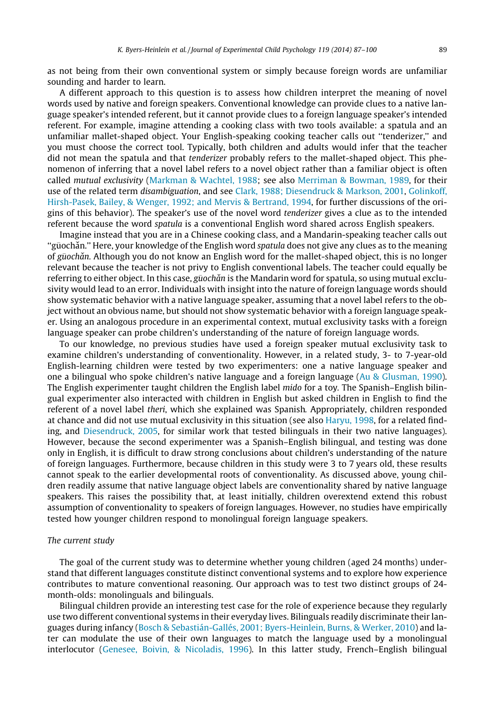as not being from their own conventional system or simply because foreign words are unfamiliar sounding and harder to learn.

A different approach to this question is to assess how children interpret the meaning of novel words used by native and foreign speakers. Conventional knowledge can provide clues to a native language speaker's intended referent, but it cannot provide clues to a foreign language speaker's intended referent. For example, imagine attending a cooking class with two tools available: a spatula and an unfamiliar mallet-shaped object. Your English-speaking cooking teacher calls out ''tenderizer,'' and you must choose the correct tool. Typically, both children and adults would infer that the teacher did not mean the spatula and that tenderizer probably refers to the mallet-shaped object. This phenomenon of inferring that a novel label refers to a novel object rather than a familiar object is often called mutual exclusivity [\(Markman & Wachtel, 1988](#page-13-0); see also [Merriman & Bowman, 1989,](#page-13-0) for their use of the related term disambiguation, and see [Clark, 1988; Diesendruck & Markson, 2001,](#page-12-0) [Golinkoff,](#page-13-0) [Hirsh-Pasek, Bailey, & Wenger, 1992; and Mervis & Bertrand, 1994,](#page-13-0) for further discussions of the origins of this behavior). The speaker's use of the novel word tenderizer gives a clue as to the intended referent because the word spatula is a conventional English word shared across English speakers.

Imagine instead that you are in a Chinese cooking class, and a Mandarin-speaking teacher calls out "gūochǎn." Here, your knowledge of the English word spatula does not give any clues as to the meaning of gūochăn. Although you do not know an English word for the mallet-shaped object, this is no longer relevant because the teacher is not privy to English conventional labels. The teacher could equally be referring to either object. In this case, gūochǎn is the Mandarin word for spatula, so using mutual exclusivity would lead to an error. Individuals with insight into the nature of foreign language words should show systematic behavior with a native language speaker, assuming that a novel label refers to the object without an obvious name, but should not show systematic behavior with a foreign language speaker. Using an analogous procedure in an experimental context, mutual exclusivity tasks with a foreign language speaker can probe children's understanding of the nature of foreign language words.

To our knowledge, no previous studies have used a foreign speaker mutual exclusivity task to examine children's understanding of conventionality. However, in a related study, 3- to 7-year-old English-learning children were tested by two experimenters: one a native language speaker and one a bilingual who spoke children's native language and a foreign language [\(Au & Glusman, 1990\)](#page-12-0). The English experimenter taught children the English label mido for a toy. The Spanish–English bilingual experimenter also interacted with children in English but asked children in English to find the referent of a novel label theri, which she explained was Spanish. Appropriately, children responded at chance and did not use mutual exclusivity in this situation (see also [Haryu, 1998,](#page-13-0) for a related finding, and [Diesendruck, 2005](#page-12-0), for similar work that tested bilinguals in their two native languages). However, because the second experimenter was a Spanish–English bilingual, and testing was done only in English, it is difficult to draw strong conclusions about children's understanding of the nature of foreign languages. Furthermore, because children in this study were 3 to 7 years old, these results cannot speak to the earlier developmental roots of conventionality. As discussed above, young children readily assume that native language object labels are conventionality shared by native language speakers. This raises the possibility that, at least initially, children overextend extend this robust assumption of conventionality to speakers of foreign languages. However, no studies have empirically tested how younger children respond to monolingual foreign language speakers.

#### The current study

The goal of the current study was to determine whether young children (aged 24 months) understand that different languages constitute distinct conventional systems and to explore how experience contributes to mature conventional reasoning. Our approach was to test two distinct groups of 24 month-olds: monolinguals and bilinguals.

Bilingual children provide an interesting test case for the role of experience because they regularly use two different conventional systems in their everyday lives. Bilinguals readily discriminate their languages during infancy ([Bosch & Sebastián-Gallés, 2001; Byers-Heinlein, Burns, & Werker, 2010](#page-12-0)) and later can modulate the use of their own languages to match the language used by a monolingual interlocutor [\(Genesee, Boivin, & Nicoladis, 1996\)](#page-13-0). In this latter study, French–English bilingual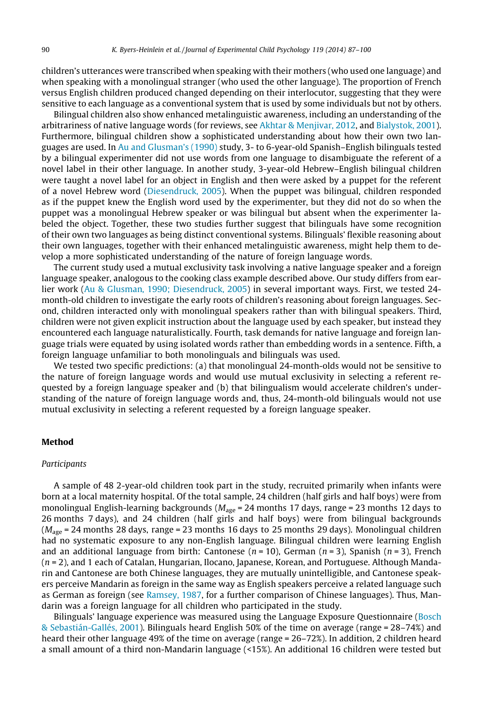children's utterances were transcribed when speaking with their mothers (who used one language) and when speaking with a monolingual stranger (who used the other language). The proportion of French versus English children produced changed depending on their interlocutor, suggesting that they were sensitive to each language as a conventional system that is used by some individuals but not by others.

Bilingual children also show enhanced metalinguistic awareness, including an understanding of the arbitrariness of native language words (for reviews, see [Akhtar & Menjivar, 2012](#page-12-0), and [Bialystok, 2001](#page-12-0)). Furthermore, bilingual children show a sophisticated understanding about how their own two languages are used. In [Au and Glusman's \(1990\)](#page-12-0) study, 3- to 6-year-old Spanish–English bilinguals tested by a bilingual experimenter did not use words from one language to disambiguate the referent of a novel label in their other language. In another study, 3-year-old Hebrew–English bilingual children were taught a novel label for an object in English and then were asked by a puppet for the referent of a novel Hebrew word [\(Diesendruck, 2005](#page-12-0)). When the puppet was bilingual, children responded as if the puppet knew the English word used by the experimenter, but they did not do so when the puppet was a monolingual Hebrew speaker or was bilingual but absent when the experimenter labeled the object. Together, these two studies further suggest that bilinguals have some recognition of their own two languages as being distinct conventional systems. Bilinguals' flexible reasoning about their own languages, together with their enhanced metalinguistic awareness, might help them to develop a more sophisticated understanding of the nature of foreign language words.

The current study used a mutual exclusivity task involving a native language speaker and a foreign language speaker, analogous to the cooking class example described above. Our study differs from earlier work ([Au & Glusman, 1990; Diesendruck, 2005\)](#page-12-0) in several important ways. First, we tested 24 month-old children to investigate the early roots of children's reasoning about foreign languages. Second, children interacted only with monolingual speakers rather than with bilingual speakers. Third, children were not given explicit instruction about the language used by each speaker, but instead they encountered each language naturalistically. Fourth, task demands for native language and foreign language trials were equated by using isolated words rather than embedding words in a sentence. Fifth, a foreign language unfamiliar to both monolinguals and bilinguals was used.

We tested two specific predictions: (a) that monolingual 24-month-olds would not be sensitive to the nature of foreign language words and would use mutual exclusivity in selecting a referent requested by a foreign language speaker and (b) that bilingualism would accelerate children's understanding of the nature of foreign language words and, thus, 24-month-old bilinguals would not use mutual exclusivity in selecting a referent requested by a foreign language speaker.

### Method

# Participants

A sample of 48 2-year-old children took part in the study, recruited primarily when infants were born at a local maternity hospital. Of the total sample, 24 children (half girls and half boys) were from monolingual English-learning backgrounds ( $M_{\text{age}} = 24$  months 17 days, range = 23 months 12 days to 26 months 7 days), and 24 children (half girls and half boys) were from bilingual backgrounds  $(M<sub>age</sub> = 24$  months 28 days, range = 23 months 16 days to 25 months 29 days). Monolingual children had no systematic exposure to any non-English language. Bilingual children were learning English and an additional language from birth: Cantonese ( $n = 10$ ), German ( $n = 3$ ), Spanish ( $n = 3$ ), French (n = 2), and 1 each of Catalan, Hungarian, Ilocano, Japanese, Korean, and Portuguese. Although Mandarin and Cantonese are both Chinese languages, they are mutually unintelligible, and Cantonese speakers perceive Mandarin as foreign in the same way as English speakers perceive a related language such as German as foreign (see [Ramsey, 1987,](#page-13-0) for a further comparison of Chinese languages). Thus, Mandarin was a foreign language for all children who participated in the study.

Bilinguals' language experience was measured using the Language Exposure Questionnaire [\(Bosch](#page-12-0) [& Sebastián-Gallés, 2001\)](#page-12-0). Bilinguals heard English 50% of the time on average (range = 28–74%) and heard their other language 49% of the time on average (range = 26–72%). In addition, 2 children heard a small amount of a third non-Mandarin language (<15%). An additional 16 children were tested but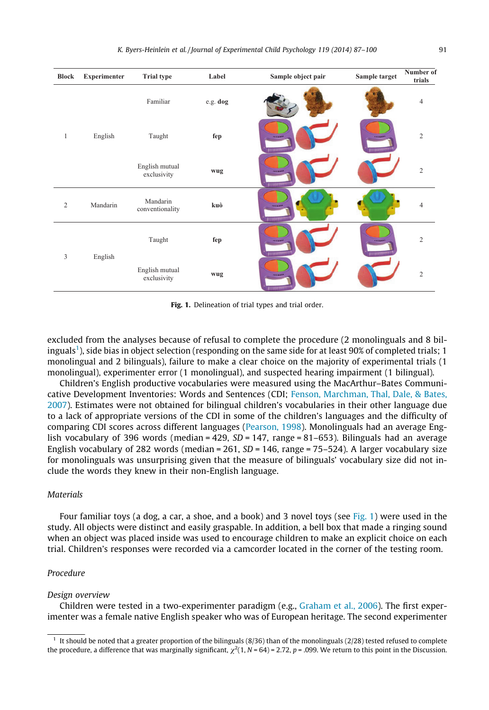

Fig. 1. Delineation of trial types and trial order.

excluded from the analyses because of refusal to complete the procedure (2 monolinguals and 8 bilinguals<sup>1</sup>), side bias in object selection (responding on the same side for at least 90% of completed trials; 1 monolingual and 2 bilinguals), failure to make a clear choice on the majority of experimental trials (1 monolingual), experimenter error (1 monolingual), and suspected hearing impairment (1 bilingual).

Children's English productive vocabularies were measured using the MacArthur–Bates Communicative Development Inventories: Words and Sentences (CDI; [Fenson, Marchman, Thal, Dale, & Bates,](#page-13-0) [2007](#page-13-0)). Estimates were not obtained for bilingual children's vocabularies in their other language due to a lack of appropriate versions of the CDI in some of the children's languages and the difficulty of comparing CDI scores across different languages [\(Pearson, 1998](#page-13-0)). Monolinguals had an average English vocabulary of 396 words (median = 429,  $SD = 147$ , range = 81–653). Bilinguals had an average English vocabulary of 282 words (median = 261,  $SD = 146$ , range = 75–524). A larger vocabulary size for monolinguals was unsurprising given that the measure of bilinguals' vocabulary size did not include the words they knew in their non-English language.

#### Materials

Four familiar toys (a dog, a car, a shoe, and a book) and 3 novel toys (see Fig. 1) were used in the study. All objects were distinct and easily graspable. In addition, a bell box that made a ringing sound when an object was placed inside was used to encourage children to make an explicit choice on each trial. Children's responses were recorded via a camcorder located in the corner of the testing room.

# Procedure

### Design overview

Children were tested in a two-experimenter paradigm (e.g., [Graham et al., 2006\)](#page-13-0). The first experimenter was a female native English speaker who was of European heritage. The second experimenter

<sup>&</sup>lt;sup>1</sup> It should be noted that a greater proportion of the bilinguals (8/36) than of the monolinguals (2/28) tested refused to complete the procedure, a difference that was marginally significant,  $\chi^2(1, N = 64) = 2.72$ ,  $p = .099$ . We return to this point in the Discussion.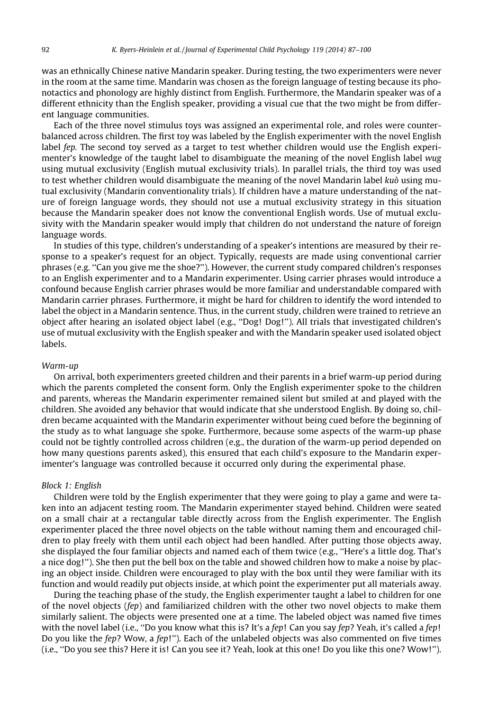was an ethnically Chinese native Mandarin speaker. During testing, the two experimenters were never in the room at the same time. Mandarin was chosen as the foreign language of testing because its phonotactics and phonology are highly distinct from English. Furthermore, the Mandarin speaker was of a different ethnicity than the English speaker, providing a visual cue that the two might be from different language communities.

Each of the three novel stimulus toys was assigned an experimental role, and roles were counterbalanced across children. The first toy was labeled by the English experimenter with the novel English label fep. The second toy served as a target to test whether children would use the English experimenter's knowledge of the taught label to disambiguate the meaning of the novel English label wug using mutual exclusivity (English mutual exclusivity trials). In parallel trials, the third toy was used to test whether children would disambiguate the meaning of the novel Mandarin label kuò using mutual exclusivity (Mandarin conventionality trials). If children have a mature understanding of the nature of foreign language words, they should not use a mutual exclusivity strategy in this situation because the Mandarin speaker does not know the conventional English words. Use of mutual exclusivity with the Mandarin speaker would imply that children do not understand the nature of foreign language words.

In studies of this type, children's understanding of a speaker's intentions are measured by their response to a speaker's request for an object. Typically, requests are made using conventional carrier phrases (e.g. ''Can you give me the shoe?''). However, the current study compared children's responses to an English experimenter and to a Mandarin experimenter. Using carrier phrases would introduce a confound because English carrier phrases would be more familiar and understandable compared with Mandarin carrier phrases. Furthermore, it might be hard for children to identify the word intended to label the object in a Mandarin sentence. Thus, in the current study, children were trained to retrieve an object after hearing an isolated object label (e.g., ''Dog! Dog!''). All trials that investigated children's use of mutual exclusivity with the English speaker and with the Mandarin speaker used isolated object labels.

#### Warm-up

On arrival, both experimenters greeted children and their parents in a brief warm-up period during which the parents completed the consent form. Only the English experimenter spoke to the children and parents, whereas the Mandarin experimenter remained silent but smiled at and played with the children. She avoided any behavior that would indicate that she understood English. By doing so, children became acquainted with the Mandarin experimenter without being cued before the beginning of the study as to what language she spoke. Furthermore, because some aspects of the warm-up phase could not be tightly controlled across children (e.g., the duration of the warm-up period depended on how many questions parents asked), this ensured that each child's exposure to the Mandarin experimenter's language was controlled because it occurred only during the experimental phase.

#### Block 1: English

Children were told by the English experimenter that they were going to play a game and were taken into an adjacent testing room. The Mandarin experimenter stayed behind. Children were seated on a small chair at a rectangular table directly across from the English experimenter. The English experimenter placed the three novel objects on the table without naming them and encouraged children to play freely with them until each object had been handled. After putting those objects away, she displayed the four familiar objects and named each of them twice (e.g., ''Here's a little dog. That's a nice dog!''). She then put the bell box on the table and showed children how to make a noise by placing an object inside. Children were encouraged to play with the box until they were familiar with its function and would readily put objects inside, at which point the experimenter put all materials away.

During the teaching phase of the study, the English experimenter taught a label to children for one of the novel objects (fep) and familiarized children with the other two novel objects to make them similarly salient. The objects were presented one at a time. The labeled object was named five times with the novel label (i.e., "Do you know what this is? It's a fep! Can you say fep? Yeah, it's called a fep! Do you like the fep? Wow, a fep!"). Each of the unlabeled objects was also commented on five times (i.e., ''Do you see this? Here it is! Can you see it? Yeah, look at this one! Do you like this one? Wow!'').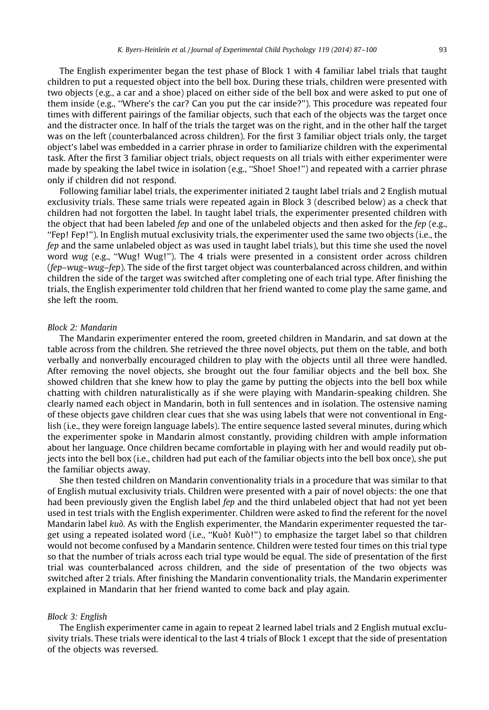The English experimenter began the test phase of Block 1 with 4 familiar label trials that taught children to put a requested object into the bell box. During these trials, children were presented with two objects (e.g., a car and a shoe) placed on either side of the bell box and were asked to put one of them inside (e.g., ''Where's the car? Can you put the car inside?''). This procedure was repeated four times with different pairings of the familiar objects, such that each of the objects was the target once and the distracter once. In half of the trials the target was on the right, and in the other half the target was on the left (counterbalanced across children). For the first 3 familiar object trials only, the target object's label was embedded in a carrier phrase in order to familiarize children with the experimental task. After the first 3 familiar object trials, object requests on all trials with either experimenter were made by speaking the label twice in isolation (e.g., ''Shoe! Shoe!'') and repeated with a carrier phrase only if children did not respond.

Following familiar label trials, the experimenter initiated 2 taught label trials and 2 English mutual exclusivity trials. These same trials were repeated again in Block 3 (described below) as a check that children had not forgotten the label. In taught label trials, the experimenter presented children with the object that had been labeled fep and one of the unlabeled objects and then asked for the fep (e.g., ''Fep! Fep!''). In English mutual exclusivity trials, the experimenter used the same two objects (i.e., the fep and the same unlabeled object as was used in taught label trials), but this time she used the novel word wug (e.g., ''Wug! Wug!''). The 4 trials were presented in a consistent order across children (fep–wug–wug–fep). The side of the first target object was counterbalanced across children, and within children the side of the target was switched after completing one of each trial type. After finishing the trials, the English experimenter told children that her friend wanted to come play the same game, and she left the room.

# Block 2: Mandarin

The Mandarin experimenter entered the room, greeted children in Mandarin, and sat down at the table across from the children. She retrieved the three novel objects, put them on the table, and both verbally and nonverbally encouraged children to play with the objects until all three were handled. After removing the novel objects, she brought out the four familiar objects and the bell box. She showed children that she knew how to play the game by putting the objects into the bell box while chatting with children naturalistically as if she were playing with Mandarin-speaking children. She clearly named each object in Mandarin, both in full sentences and in isolation. The ostensive naming of these objects gave children clear cues that she was using labels that were not conventional in English (i.e., they were foreign language labels). The entire sequence lasted several minutes, during which the experimenter spoke in Mandarin almost constantly, providing children with ample information about her language. Once children became comfortable in playing with her and would readily put objects into the bell box (i.e., children had put each of the familiar objects into the bell box once), she put the familiar objects away.

She then tested children on Mandarin conventionality trials in a procedure that was similar to that of English mutual exclusivity trials. Children were presented with a pair of novel objects: the one that had been previously given the English label fep and the third unlabeled object that had not yet been used in test trials with the English experimenter. Children were asked to find the referent for the novel Mandarin label kuò. As with the English experimenter, the Mandarin experimenter requested the target using a repeated isolated word (i.e., "Kuò! Kuò!") to emphasize the target label so that children would not become confused by a Mandarin sentence. Children were tested four times on this trial type so that the number of trials across each trial type would be equal. The side of presentation of the first trial was counterbalanced across children, and the side of presentation of the two objects was switched after 2 trials. After finishing the Mandarin conventionality trials, the Mandarin experimenter explained in Mandarin that her friend wanted to come back and play again.

#### Block 3: English

The English experimenter came in again to repeat 2 learned label trials and 2 English mutual exclusivity trials. These trials were identical to the last 4 trials of Block 1 except that the side of presentation of the objects was reversed.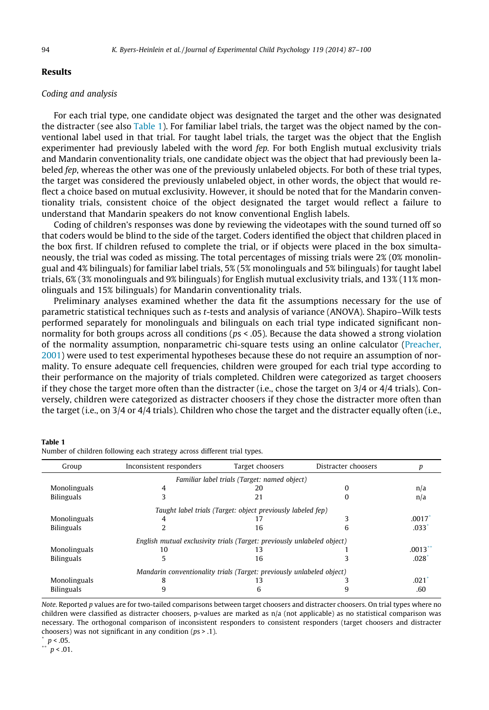# <span id="page-7-0"></span>Results

## Coding and analysis

For each trial type, one candidate object was designated the target and the other was designated the distracter (see also Table 1). For familiar label trials, the target was the object named by the conventional label used in that trial. For taught label trials, the target was the object that the English experimenter had previously labeled with the word fep. For both English mutual exclusivity trials and Mandarin conventionality trials, one candidate object was the object that had previously been labeled fep, whereas the other was one of the previously unlabeled objects. For both of these trial types, the target was considered the previously unlabeled object, in other words, the object that would reflect a choice based on mutual exclusivity. However, it should be noted that for the Mandarin conventionality trials, consistent choice of the object designated the target would reflect a failure to understand that Mandarin speakers do not know conventional English labels.

Coding of children's responses was done by reviewing the videotapes with the sound turned off so that coders would be blind to the side of the target. Coders identified the object that children placed in the box first. If children refused to complete the trial, or if objects were placed in the box simultaneously, the trial was coded as missing. The total percentages of missing trials were 2% (0% monolingual and 4% bilinguals) for familiar label trials, 5% (5% monolinguals and 5% bilinguals) for taught label trials, 6% (3% monolinguals and 9% bilinguals) for English mutual exclusivity trials, and 13% (11% monolinguals and 15% bilinguals) for Mandarin conventionality trials.

Preliminary analyses examined whether the data fit the assumptions necessary for the use of parametric statistical techniques such as t-tests and analysis of variance (ANOVA). Shapiro–Wilk tests performed separately for monolinguals and bilinguals on each trial type indicated significant nonnormality for both groups across all conditions ( $ps < .05$ ). Because the data showed a strong violation of the normality assumption, nonparametric chi-square tests using an online calculator ([Preacher,](#page-13-0) [2001\)](#page-13-0) were used to test experimental hypotheses because these do not require an assumption of normality. To ensure adequate cell frequencies, children were grouped for each trial type according to their performance on the majority of trials completed. Children were categorized as target choosers if they chose the target more often than the distracter (i.e., chose the target on  $3/4$  or  $4/4$  trials). Conversely, children were categorized as distracter choosers if they chose the distracter more often than the target (i.e., on 3/4 or 4/4 trials). Children who chose the target and the distracter equally often (i.e.,

#### Table 1

|  |  |  |  |  |  |  |  |  |  |  |  | Number of children following each strategy across different trial types. |  |  |
|--|--|--|--|--|--|--|--|--|--|--|--|--------------------------------------------------------------------------|--|--|
|--|--|--|--|--|--|--|--|--|--|--|--|--------------------------------------------------------------------------|--|--|

| Group                                                                   | Inconsistent responders | Target choosers | Distracter choosers |          |  |  |  |  |  |  |
|-------------------------------------------------------------------------|-------------------------|-----------------|---------------------|----------|--|--|--|--|--|--|
| Familiar label trials (Target: named object)                            |                         |                 |                     |          |  |  |  |  |  |  |
| Monolinguals                                                            | 4                       | 20              |                     | n/a      |  |  |  |  |  |  |
| <b>Bilinguals</b>                                                       |                         | 21              |                     | n/a      |  |  |  |  |  |  |
| Taught label trials (Target: object previously labeled fep)             |                         |                 |                     |          |  |  |  |  |  |  |
| Monolinguals                                                            |                         |                 |                     | .0017    |  |  |  |  |  |  |
| <b>Bilinguals</b>                                                       |                         | 16              |                     | .033     |  |  |  |  |  |  |
| English mutual exclusivity trials (Target: previously unlabeled object) |                         |                 |                     |          |  |  |  |  |  |  |
| Monolinguals                                                            | 10                      | 13              |                     | $.0013*$ |  |  |  |  |  |  |
| <b>Bilinguals</b>                                                       | 5                       | 16              |                     | .028     |  |  |  |  |  |  |
| Mandarin conventionality trials (Target: previously unlabeled object)   |                         |                 |                     |          |  |  |  |  |  |  |
| Monolinguals                                                            |                         | 13              |                     | .021     |  |  |  |  |  |  |
| <b>Bilinguals</b>                                                       |                         | 6               |                     | .60      |  |  |  |  |  |  |

Note. Reported p values are for two-tailed comparisons between target choosers and distracter choosers. On trial types where no children were classified as distracter choosers, p-values are marked as n/a (not applicable) as no statistical comparison was necessary. The orthogonal comparison of inconsistent responders to consistent responders (target choosers and distracter choosers) was not significant in any condition  $(ps > .1)$ .

$$
p < .05.
$$

 $p < .01$ .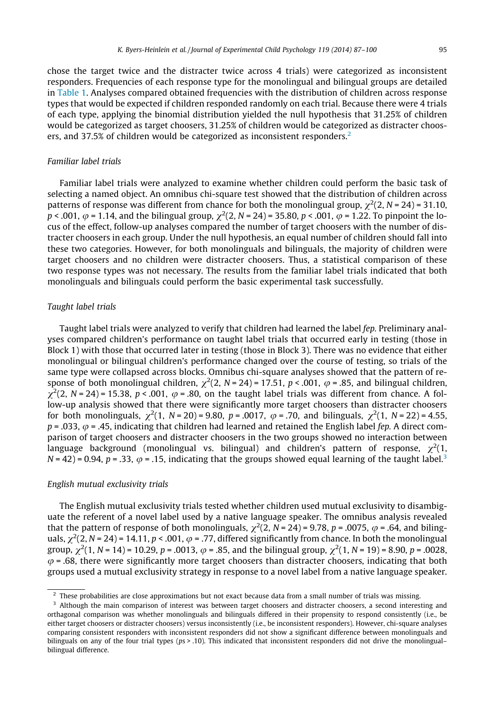chose the target twice and the distracter twice across 4 trials) were categorized as inconsistent responders. Frequencies of each response type for the monolingual and bilingual groups are detailed in [Table 1.](#page-7-0) Analyses compared obtained frequencies with the distribution of children across response types that would be expected if children responded randomly on each trial. Because there were 4 trials of each type, applying the binomial distribution yielded the null hypothesis that 31.25% of children would be categorized as target choosers, 31.25% of children would be categorized as distracter choosers, and 37.5% of children would be categorized as inconsistent responders.<sup>2</sup>

#### Familiar label trials

Familiar label trials were analyzed to examine whether children could perform the basic task of selecting a named object. An omnibus chi-square test showed that the distribution of children across patterns of response was different from chance for both the monolingual group,  $\chi^2(2, N = 24) = 31.10$ , p < .001,  $\varphi$  = 1.14, and the bilingual group,  $\chi^2(2, N = 24)$  = 35.80, p < .001,  $\varphi$  = 1.22. To pinpoint the locus of the effect, follow-up analyses compared the number of target choosers with the number of distracter choosers in each group. Under the null hypothesis, an equal number of children should fall into these two categories. However, for both monolinguals and bilinguals, the majority of children were target choosers and no children were distracter choosers. Thus, a statistical comparison of these two response types was not necessary. The results from the familiar label trials indicated that both monolinguals and bilinguals could perform the basic experimental task successfully.

### Taught label trials

Taught label trials were analyzed to verify that children had learned the label fep. Preliminary analyses compared children's performance on taught label trials that occurred early in testing (those in Block 1) with those that occurred later in testing (those in Block 3). There was no evidence that either monolingual or bilingual children's performance changed over the course of testing, so trials of the same type were collapsed across blocks. Omnibus chi-square analyses showed that the pattern of response of both monolingual children,  $\chi^2(2, N = 24) = 17.51$ ,  $p < .001$ ,  $\varphi = .85$ , and bilingual children,  $\chi^2$ (2, N = 24) = 15.38, p < .001,  $\varphi$  = .80, on the taught label trials was different from chance. A follow-up analysis showed that there were significantly more target choosers than distracter choosers for both monolinguals,  $\chi^2(1, N = 20) = 9.80$ ,  $p = .0017$ ,  $\varphi = .70$ , and bilinguals,  $\chi^2(1, N = 22) = 4.55$ ,  $p = .033$ ,  $\varphi = .45$ , indicating that children had learned and retained the English label fep. A direct comparison of target choosers and distracter choosers in the two groups showed no interaction between language background (monolingual vs. bilingual) and children's pattern of response,  $\chi^2(1,$  $N = 42$ ) = 0.94, p = .33,  $\varphi$  = .15, indicating that the groups showed equal learning of the taught label.<sup>3</sup>

#### English mutual exclusivity trials

The English mutual exclusivity trials tested whether children used mutual exclusivity to disambiguate the referent of a novel label used by a native language speaker. The omnibus analysis revealed that the pattern of response of both monolinguals,  $\chi^2(2, N = 24)$  = 9.78, p = .0075,  $\varphi$  = .64, and bilinguals,  $\chi^2(2, N = 24)$  = 14.11, p < .001,  $\varphi$  = .77, differed significantly from chance. In both the monolingual group,  $\chi^2(1, N = 14) = 10.29$ ,  $p = .0013$ ,  $\varphi = .85$ , and the bilingual group,  $\chi^2(1, N = 19) = 8.90$ ,  $p = .0028$ ,  $\varphi$  = .68, there were significantly more target choosers than distracter choosers, indicating that both groups used a mutual exclusivity strategy in response to a novel label from a native language speaker.

<sup>&</sup>lt;sup>2</sup> These probabilities are close approximations but not exact because data from a small number of trials was missing.<br><sup>3</sup> Although the main comparison of interest was between target choosers and distractor choosers a sec

<sup>3</sup> Although the main comparison of interest was between target choosers and distracter choosers, a second interesting and orthagonal comparison was whether monolinguals and bilinguals differed in their propensity to respond consistently (i.e., be either target choosers or distracter choosers) versus inconsistently (i.e., be inconsistent responders). However, chi-square analyses comparing consistent responders with inconsistent responders did not show a significant difference between monolinguals and bilinguals on any of the four trial types ( $ps > .10$ ). This indicated that inconsistent responders did not drive the monolingual– bilingual difference.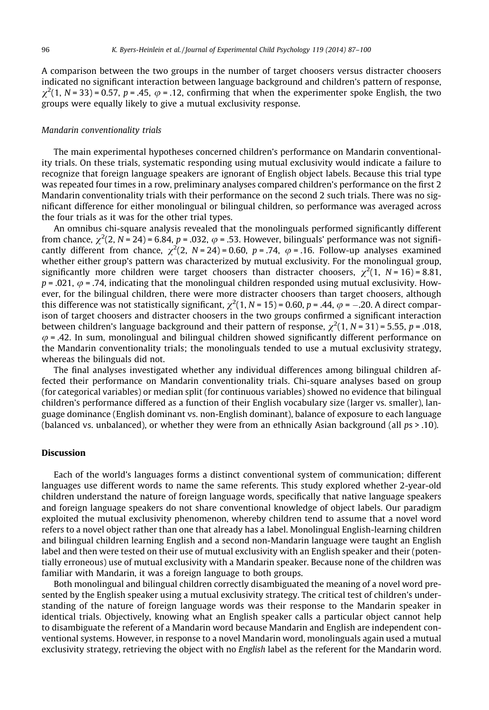A comparison between the two groups in the number of target choosers versus distracter choosers indicated no significant interaction between language background and children's pattern of response,  $\chi^2(1, N = 33) = 0.57$ ,  $p = .45$ ,  $\varphi = .12$ , confirming that when the experimenter spoke English, the two groups were equally likely to give a mutual exclusivity response.

#### Mandarin conventionality trials

The main experimental hypotheses concerned children's performance on Mandarin conventionality trials. On these trials, systematic responding using mutual exclusivity would indicate a failure to recognize that foreign language speakers are ignorant of English object labels. Because this trial type was repeated four times in a row, preliminary analyses compared children's performance on the first 2 Mandarin conventionality trials with their performance on the second 2 such trials. There was no significant difference for either monolingual or bilingual children, so performance was averaged across the four trials as it was for the other trial types.

An omnibus chi-square analysis revealed that the monolinguals performed significantly different from chance,  $\chi^2(2, N = 24)$  = 6.84, p = .032,  $\varphi$  = .53. However, bilinguals' performance was not significantly different from chance,  $\chi^2(2, N = 24) = 0.60$ ,  $p = .74$ ,  $\varphi = .16$ . Follow-up analyses examined whether either group's pattern was characterized by mutual exclusivity. For the monolingual group, significantly more children were target choosers than distracter choosers,  $\chi^2(1, N=16)$  = 8.81,  $p = .021$ ,  $\varphi = .74$ , indicating that the monolingual children responded using mutual exclusivity. However, for the bilingual children, there were more distracter choosers than target choosers, although this difference was not statistically significant,  $\chi^2(1, N = 15)$  = 0.60, p = .44,  $\varphi$  = -.20. A direct comparison of target choosers and distracter choosers in the two groups confirmed a significant interaction between children's language background and their pattern of response,  $\chi^2(1, N = 31)$  = 5.55, p = .018,  $\varphi$  = .42. In sum, monolingual and bilingual children showed significantly different performance on the Mandarin conventionality trials; the monolinguals tended to use a mutual exclusivity strategy, whereas the bilinguals did not.

The final analyses investigated whether any individual differences among bilingual children affected their performance on Mandarin conventionality trials. Chi-square analyses based on group (for categorical variables) or median split (for continuous variables) showed no evidence that bilingual children's performance differed as a function of their English vocabulary size (larger vs. smaller), language dominance (English dominant vs. non-English dominant), balance of exposure to each language (balanced vs. unbalanced), or whether they were from an ethnically Asian background (all ps > .10).

#### Discussion

Each of the world's languages forms a distinct conventional system of communication; different languages use different words to name the same referents. This study explored whether 2-year-old children understand the nature of foreign language words, specifically that native language speakers and foreign language speakers do not share conventional knowledge of object labels. Our paradigm exploited the mutual exclusivity phenomenon, whereby children tend to assume that a novel word refers to a novel object rather than one that already has a label. Monolingual English-learning children and bilingual children learning English and a second non-Mandarin language were taught an English label and then were tested on their use of mutual exclusivity with an English speaker and their (potentially erroneous) use of mutual exclusivity with a Mandarin speaker. Because none of the children was familiar with Mandarin, it was a foreign language to both groups.

Both monolingual and bilingual children correctly disambiguated the meaning of a novel word presented by the English speaker using a mutual exclusivity strategy. The critical test of children's understanding of the nature of foreign language words was their response to the Mandarin speaker in identical trials. Objectively, knowing what an English speaker calls a particular object cannot help to disambiguate the referent of a Mandarin word because Mandarin and English are independent conventional systems. However, in response to a novel Mandarin word, monolinguals again used a mutual exclusivity strategy, retrieving the object with no English label as the referent for the Mandarin word.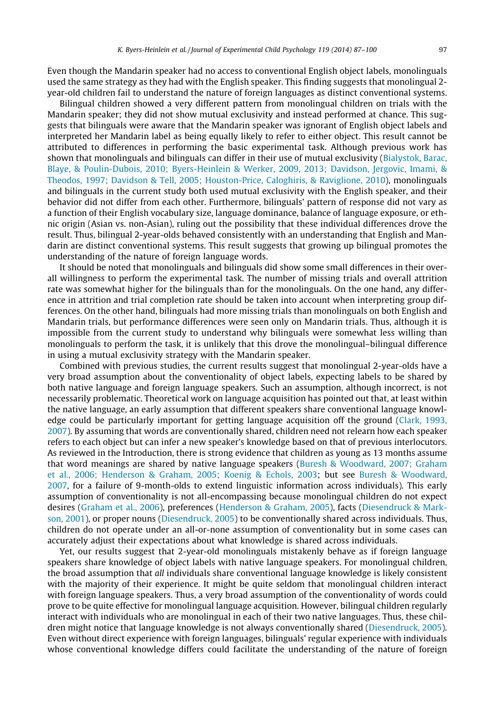Even though the Mandarin speaker had no access to conventional English object labels, monolinguals used the same strategy as they had with the English speaker. This finding suggests that monolingual 2 year-old children fail to understand the nature of foreign languages as distinct conventional systems.

Bilingual children showed a very different pattern from monolingual children on trials with the Mandarin speaker; they did not show mutual exclusivity and instead performed at chance. This suggests that bilinguals were aware that the Mandarin speaker was ignorant of English object labels and interpreted her Mandarin label as being equally likely to refer to either object. This result cannot be attributed to differences in performing the basic experimental task. Although previous work has shown that monolinguals and bilinguals can differ in their use of mutual exclusivity ([Bialystok, Barac,](#page-12-0) [Blaye, & Poulin-Dubois, 2010; Byers-Heinlein & Werker, 2009, 2013; Davidson, Jergovic, Imami, &](#page-12-0) [Theodos, 1997; Davidson & Tell, 2005; Houston-Price, Caloghiris, & Raviglione, 2010\)](#page-12-0), monolinguals and bilinguals in the current study both used mutual exclusivity with the English speaker, and their behavior did not differ from each other. Furthermore, bilinguals' pattern of response did not vary as a function of their English vocabulary size, language dominance, balance of language exposure, or ethnic origin (Asian vs. non-Asian), ruling out the possibility that these individual differences drove the result. Thus, bilingual 2-year-olds behaved consistently with an understanding that English and Mandarin are distinct conventional systems. This result suggests that growing up bilingual promotes the understanding of the nature of foreign language words.

It should be noted that monolinguals and bilinguals did show some small differences in their overall willingness to perform the experimental task. The number of missing trials and overall attrition rate was somewhat higher for the bilinguals than for the monolinguals. On the one hand, any difference in attrition and trial completion rate should be taken into account when interpreting group differences. On the other hand, bilinguals had more missing trials than monolinguals on both English and Mandarin trials, but performance differences were seen only on Mandarin trials. Thus, although it is impossible from the current study to understand why bilinguals were somewhat less willing than monolinguals to perform the task, it is unlikely that this drove the monolingual–bilingual difference in using a mutual exclusivity strategy with the Mandarin speaker.

Combined with previous studies, the current results suggest that monolingual 2-year-olds have a very broad assumption about the conventionality of object labels, expecting labels to be shared by both native language and foreign language speakers. Such an assumption, although incorrect, is not necessarily problematic. Theoretical work on language acquisition has pointed out that, at least within the native language, an early assumption that different speakers share conventional language knowledge could be particularly important for getting language acquisition off the ground [\(Clark, 1993,](#page-12-0) [2007](#page-12-0)). By assuming that words are conventionally shared, children need not relearn how each speaker refers to each object but can infer a new speaker's knowledge based on that of previous interlocutors. As reviewed in the Introduction, there is strong evidence that children as young as 13 months assume that word meanings are shared by native language speakers ([Buresh & Woodward, 2007; Graham](#page-12-0) [et al., 2006; Henderson & Graham, 2005; Koenig & Echols, 2003;](#page-12-0) but see [Buresh & Woodward,](#page-12-0) [2007](#page-12-0), for a failure of 9-month-olds to extend linguistic information across individuals). This early assumption of conventionality is not all-encompassing because monolingual children do not expect desires ([Graham et al., 2006\)](#page-13-0), preferences ([Henderson & Graham, 2005\)](#page-13-0), facts ([Diesendruck & Mark](#page-12-0)[son, 2001\)](#page-12-0), or proper nouns [\(Diesendruck, 2005](#page-12-0)) to be conventionally shared across individuals. Thus, children do not operate under an all-or-none assumption of conventionality but in some cases can accurately adjust their expectations about what knowledge is shared across individuals.

Yet, our results suggest that 2-year-old monolinguals mistakenly behave as if foreign language speakers share knowledge of object labels with native language speakers. For monolingual children, the broad assumption that all individuals share conventional language knowledge is likely consistent with the majority of their experience. It might be quite seldom that monolingual children interact with foreign language speakers. Thus, a very broad assumption of the conventionality of words could prove to be quite effective for monolingual language acquisition. However, bilingual children regularly interact with individuals who are monolingual in each of their two native languages. Thus, these children might notice that language knowledge is not always conventionally shared ([Diesendruck, 2005\)](#page-12-0). Even without direct experience with foreign languages, bilinguals' regular experience with individuals whose conventional knowledge differs could facilitate the understanding of the nature of foreign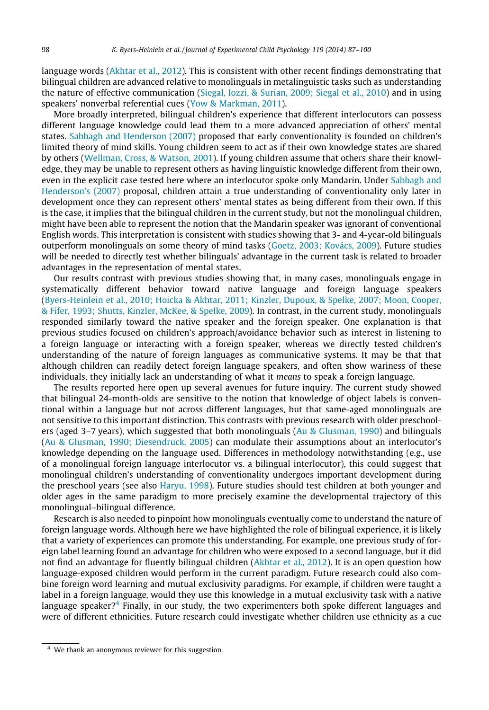language words ([Akhtar et al., 2012\)](#page-12-0). This is consistent with other recent findings demonstrating that bilingual children are advanced relative to monolinguals in metalinguistic tasks such as understanding the nature of effective communication ([Siegal, Iozzi, & Surian, 2009; Siegal et al., 2010](#page-13-0)) and in using speakers' nonverbal referential cues [\(Yow & Markman, 2011\)](#page-13-0).

More broadly interpreted, bilingual children's experience that different interlocutors can possess different language knowledge could lead them to a more advanced appreciation of others' mental states. [Sabbagh and Henderson \(2007\)](#page-13-0) proposed that early conventionality is founded on children's limited theory of mind skills. Young children seem to act as if their own knowledge states are shared by others ([Wellman, Cross, & Watson, 2001\)](#page-13-0). If young children assume that others share their knowledge, they may be unable to represent others as having linguistic knowledge different from their own, even in the explicit case tested here where an interlocutor spoke only Mandarin. Under [Sabbagh and](#page-13-0) [Henderson's \(2007\)](#page-13-0) proposal, children attain a true understanding of conventionality only later in development once they can represent others' mental states as being different from their own. If this is the case, it implies that the bilingual children in the current study, but not the monolingual children, might have been able to represent the notion that the Mandarin speaker was ignorant of conventional English words. This interpretation is consistent with studies showing that 3- and 4-year-old bilinguals outperform monolinguals on some theory of mind tasks ([Goetz, 2003; Kovács, 2009](#page-13-0)). Future studies will be needed to directly test whether bilinguals' advantage in the current task is related to broader advantages in the representation of mental states.

Our results contrast with previous studies showing that, in many cases, monolinguals engage in systematically different behavior toward native language and foreign language speakers ([Byers-Heinlein et al., 2010; Hoicka & Akhtar, 2011; Kinzler, Dupoux, & Spelke, 2007; Moon, Cooper,](#page-12-0) [& Fifer, 1993; Shutts, Kinzler, McKee, & Spelke, 2009\)](#page-12-0). In contrast, in the current study, monolinguals responded similarly toward the native speaker and the foreign speaker. One explanation is that previous studies focused on children's approach/avoidance behavior such as interest in listening to a foreign language or interacting with a foreign speaker, whereas we directly tested children's understanding of the nature of foreign languages as communicative systems. It may be that that although children can readily detect foreign language speakers, and often show wariness of these individuals, they initially lack an understanding of what it means to speak a foreign language.

The results reported here open up several avenues for future inquiry. The current study showed that bilingual 24-month-olds are sensitive to the notion that knowledge of object labels is conventional within a language but not across different languages, but that same-aged monolinguals are not sensitive to this important distinction. This contrasts with previous research with older preschoolers (aged 3–7 years), which suggested that both monolinguals ([Au & Glusman, 1990\)](#page-12-0) and bilinguals ([Au & Glusman, 1990; Diesendruck, 2005](#page-12-0)) can modulate their assumptions about an interlocutor's knowledge depending on the language used. Differences in methodology notwithstanding (e.g., use of a monolingual foreign language interlocutor vs. a bilingual interlocutor), this could suggest that monolingual children's understanding of conventionality undergoes important development during the preschool years (see also [Haryu, 1998](#page-13-0)). Future studies should test children at both younger and older ages in the same paradigm to more precisely examine the developmental trajectory of this monolingual–bilingual difference.

Research is also needed to pinpoint how monolinguals eventually come to understand the nature of foreign language words. Although here we have highlighted the role of bilingual experience, it is likely that a variety of experiences can promote this understanding. For example, one previous study of foreign label learning found an advantage for children who were exposed to a second language, but it did not find an advantage for fluently bilingual children [\(Akhtar et al., 2012](#page-12-0)). It is an open question how language-exposed children would perform in the current paradigm. Future research could also combine foreign word learning and mutual exclusivity paradigms. For example, if children were taught a label in a foreign language, would they use this knowledge in a mutual exclusivity task with a native language speaker? $4$  Finally, in our study, the two experimenters both spoke different languages and were of different ethnicities. Future research could investigate whether children use ethnicity as a cue

<sup>4</sup> We thank an anonymous reviewer for this suggestion.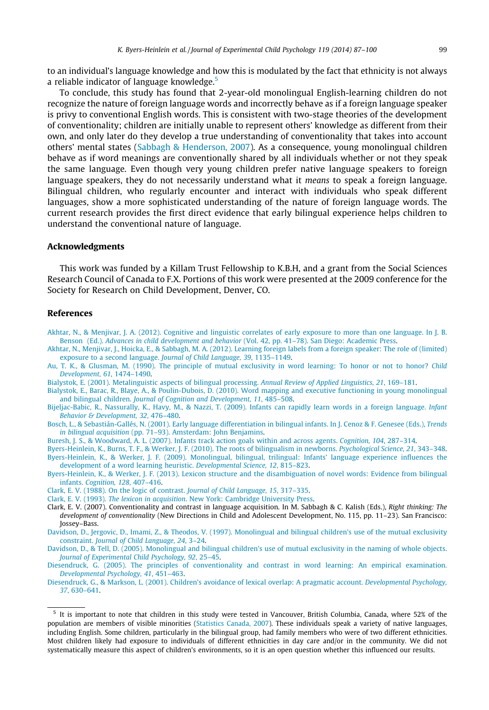<span id="page-12-0"></span>to an individual's language knowledge and how this is modulated by the fact that ethnicity is not always a reliable indicator of language knowledge.<sup>5</sup>

To conclude, this study has found that 2-year-old monolingual English-learning children do not recognize the nature of foreign language words and incorrectly behave as if a foreign language speaker is privy to conventional English words. This is consistent with two-stage theories of the development of conventionality; children are initially unable to represent others' knowledge as different from their own, and only later do they develop a true understanding of conventionality that takes into account others' mental states ([Sabbagh & Henderson, 2007](#page-13-0)). As a consequence, young monolingual children behave as if word meanings are conventionally shared by all individuals whether or not they speak the same language. Even though very young children prefer native language speakers to foreign language speakers, they do not necessarily understand what it *means* to speak a foreign language. Bilingual children, who regularly encounter and interact with individuals who speak different languages, show a more sophisticated understanding of the nature of foreign language words. The current research provides the first direct evidence that early bilingual experience helps children to understand the conventional nature of language.

#### Acknowledgments

This work was funded by a Killam Trust Fellowship to K.B.H, and a grant from the Social Sciences Research Council of Canada to F.X. Portions of this work were presented at the 2009 conference for the Society for Research on Child Development, Denver, CO.

# References

- [Akhtar, N., & Menjivar, J. A. \(2012\). Cognitive and linguistic correlates of early exposure to more than one language. In J. B.](http://refhub.elsevier.com/S0022-0965(13)00197-5/h0005) Benson (Ed.). Advances in child development and behavior [\(Vol. 42, pp. 41–78\). San Diego: Academic Press.](http://refhub.elsevier.com/S0022-0965(13)00197-5/h0005)
- [Akhtar, N., Menjivar, J., Hoicka, E., & Sabbagh, M. A. \(2012\). Learning foreign labels from a foreign speaker: The role of \(limited\)](http://refhub.elsevier.com/S0022-0965(13)00197-5/h0010) [exposure to a second language.](http://refhub.elsevier.com/S0022-0965(13)00197-5/h0010) Journal of Child Language, 39, 1135–1149.
- [Au, T. K., & Glusman, M. \(1990\). The principle of mutual exclusivity in word learning: To honor or not to honor?](http://refhub.elsevier.com/S0022-0965(13)00197-5/h0015) Child [Development, 61](http://refhub.elsevier.com/S0022-0965(13)00197-5/h0015), 1474–1490.

[Bialystok, E. \(2001\). Metalinguistic aspects of bilingual processing.](http://refhub.elsevier.com/S0022-0965(13)00197-5/h0020) Annual Review of Applied Linguistics, 21, 169–181.

[Bialystok, E., Barac, R., Blaye, A., & Poulin-Dubois, D. \(2010\). Word mapping and executive functioning in young monolingual](http://refhub.elsevier.com/S0022-0965(13)00197-5/h0025)

and bilingual children. [Journal of Cognition and Development, 11](http://refhub.elsevier.com/S0022-0965(13)00197-5/h0025), 485–508. [Bijeljac-Babic, R., Nassurally, K., Havy, M., & Nazzi, T. \(2009\). Infants can rapidly learn words in a foreign language.](http://refhub.elsevier.com/S0022-0965(13)00197-5/h0030) Infant [Behavior & Development, 32](http://refhub.elsevier.com/S0022-0965(13)00197-5/h0030), 476–480.

[Bosch, L., & Sebastián-Gallés, N. \(2001\). Early language differentiation in bilingual infants. In J. Cenoz & F. Genesee \(Eds.\),](http://refhub.elsevier.com/S0022-0965(13)00197-5/h0040) Trends in bilingual acquisition [\(pp. 71–93\). Amsterdam: John Benjamins.](http://refhub.elsevier.com/S0022-0965(13)00197-5/h0040)

- [Buresh, J. S., & Woodward, A. L. \(2007\). Infants track action goals within and across agents.](http://refhub.elsevier.com/S0022-0965(13)00197-5/h0045) Cognition, 104, 287–314.<br>[Byers-Heinlein, K., Burns, T. F., & Werker, J. F. \(2010\). The roots of bilingualism in newborns.](http://refhub.elsevier.com/S0022-0965(13)00197-5/h0050) *Psych* [Byers-Heinlein, K., & Werker, J. F. \(2009\). Monolingual, bilingual, trilingual: Infants' language experience influences the](http://refhub.elsevier.com/S0022-0965(13)00197-5/h0055) [development of a word learning heuristic.](http://refhub.elsevier.com/S0022-0965(13)00197-5/h0055) Developmental Science, 12, 815–823.
- [Byers-Heinlein, K., & Werker, J. F. \(2013\). Lexicon structure and the disambiguation of novel words: Evidence from bilingual](http://refhub.elsevier.com/S0022-0965(13)00197-5/h0250) infants. [Cognition, 128](http://refhub.elsevier.com/S0022-0965(13)00197-5/h0250), 407–416.

[Clark, E. V. \(1988\). On the logic of contrast.](http://refhub.elsevier.com/S0022-0965(13)00197-5/h0060) Journal of Child Language, 15, 317–335.

- Clark, E. V. (1993). The lexicon in acquisition[. New York: Cambridge University Press.](http://refhub.elsevier.com/S0022-0965(13)00197-5/h0065)
- Clark, E. V. (2007). Conventionality and contrast in language acquisition. In M. Sabbagh & C. Kalish (Eds.), Right thinking: The development of conventionality (New Directions in Child and Adolescent Development, No. 115, pp. 11–23). San Francisco: Jossey–Bass.

[Davidson, D., Jergovic, D., Imami, Z., & Theodos, V. \(1997\). Monolingual and bilingual children's use of the mutual exclusivity](http://refhub.elsevier.com/S0022-0965(13)00197-5/h0075) constraint. [Journal of Child Language, 24](http://refhub.elsevier.com/S0022-0965(13)00197-5/h0075), 3–24.

[Davidson, D., & Tell, D. \(2005\). Monolingual and bilingual children's use of mutual exclusivity in the naming of whole objects.](http://refhub.elsevier.com/S0022-0965(13)00197-5/h0080) [Journal of Experimental Child Psychology, 92](http://refhub.elsevier.com/S0022-0965(13)00197-5/h0080), 25–45.

[Diesendruck, G. \(2005\). The principles of conventionality and contrast in word learning: An empirical examination.](http://refhub.elsevier.com/S0022-0965(13)00197-5/h0085) [Developmental Psychology, 41](http://refhub.elsevier.com/S0022-0965(13)00197-5/h0085), 451–463.

[Diesendruck, G., & Markson, L. \(2001\). Children's avoidance of lexical overlap: A pragmatic account.](http://refhub.elsevier.com/S0022-0965(13)00197-5/h0090) Developmental Psychology, 37[, 630–641.](http://refhub.elsevier.com/S0022-0965(13)00197-5/h0090)

<sup>5</sup> It is important to note that children in this study were tested in Vancouver, British Columbia, Canada, where 52% of the population are members of visible minorities ([Statistics Canada, 2007](#page-13-0)). These individuals speak a variety of native languages, including English. Some children, particularly in the bilingual group, had family members who were of two different ethnicities. Most children likely had exposure to individuals of different ethnicities in day care and/or in the community. We did not systematically measure this aspect of children's environments, so it is an open question whether this influenced our results.